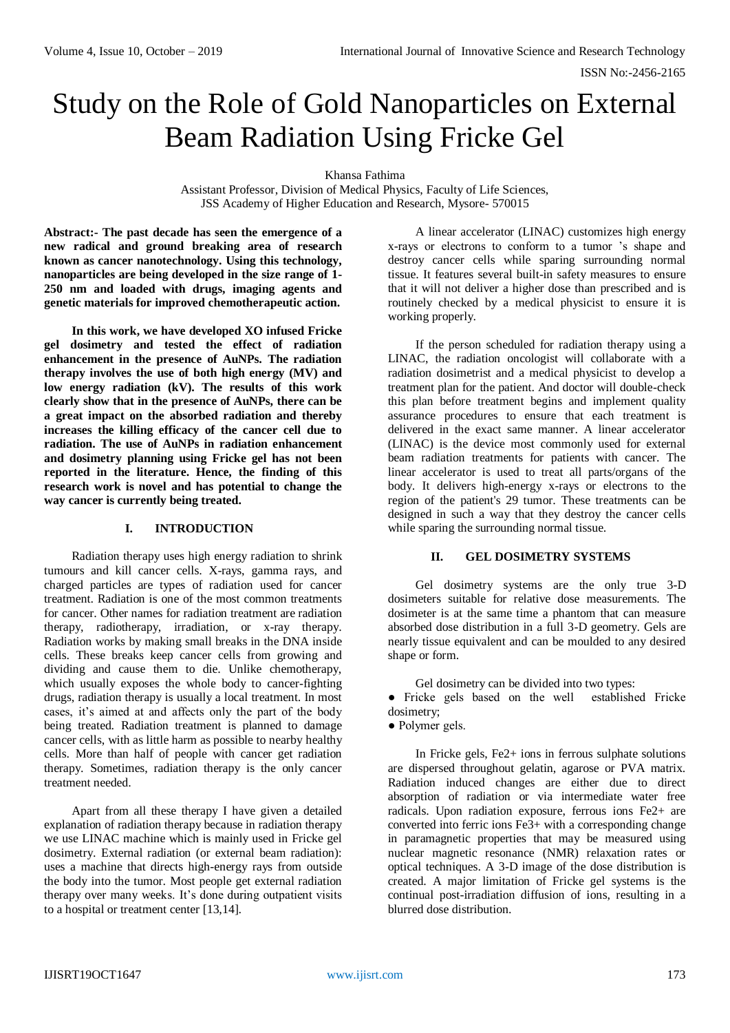ISSN No:-2456-2165

# Study on the Role of Gold Nanoparticles on External Beam Radiation Using Fricke Gel

Khansa Fathima

Assistant Professor, Division of Medical Physics, Faculty of Life Sciences, JSS Academy of Higher Education and Research, Mysore- 570015

**Abstract:- The past decade has seen the emergence of a new radical and ground breaking area of research known as cancer nanotechnology. Using this technology, nanoparticles are being developed in the size range of 1- 250 nm and loaded with drugs, imaging agents and genetic materials for improved chemotherapeutic action.**

**In this work, we have developed XO infused Fricke gel dosimetry and tested the effect of radiation enhancement in the presence of AuNPs. The radiation therapy involves the use of both high energy (MV) and low energy radiation (kV). The results of this work clearly show that in the presence of AuNPs, there can be a great impact on the absorbed radiation and thereby increases the killing efficacy of the cancer cell due to radiation. The use of AuNPs in radiation enhancement and dosimetry planning using Fricke gel has not been reported in the literature. Hence, the finding of this research work is novel and has potential to change the way cancer is currently being treated.**

#### **I. INTRODUCTION**

Radiation therapy uses high energy radiation to shrink tumours and kill cancer cells. X-rays, gamma rays, and charged particles are types of radiation used for cancer treatment. Radiation is one of the most common treatments for cancer. Other names for radiation treatment are radiation therapy, radiotherapy, irradiation, or x-ray therapy. Radiation works by making small breaks in the DNA inside cells. These breaks keep cancer cells from growing and dividing and cause them to die. Unlike chemotherapy, which usually exposes the whole body to cancer-fighting drugs, radiation therapy is usually a local treatment. In most cases, it's aimed at and affects only the part of the body being treated. Radiation treatment is planned to damage cancer cells, with as little harm as possible to nearby healthy cells. More than half of people with cancer get radiation therapy. Sometimes, radiation therapy is the only cancer treatment needed.

Apart from all these therapy I have given a detailed explanation of radiation therapy because in radiation therapy we use LINAC machine which is mainly used in Fricke gel dosimetry. External radiation (or external beam radiation): uses a machine that directs high-energy rays from outside the body into the tumor. Most people get external radiation therapy over many weeks. It's done during outpatient visits to a hospital or treatment center [13,14].

A linear accelerator (LINAC) customizes high energy x-rays or electrons to conform to a tumor 's shape and destroy cancer cells while sparing surrounding normal tissue. It features several built-in safety measures to ensure that it will not deliver a higher dose than prescribed and is routinely checked by a medical physicist to ensure it is working properly.

If the person scheduled for radiation therapy using a LINAC, the radiation oncologist will collaborate with a radiation dosimetrist and a medical physicist to develop a treatment plan for the patient. And doctor will double-check this plan before treatment begins and implement quality assurance procedures to ensure that each treatment is delivered in the exact same manner. A linear accelerator (LINAC) is the device most commonly used for external beam radiation treatments for patients with cancer. The linear accelerator is used to treat all parts/organs of the body. It delivers high-energy x-rays or electrons to the region of the patient's 29 tumor. These treatments can be designed in such a way that they destroy the cancer cells while sparing the surrounding normal tissue.

# **II. GEL DOSIMETRY SYSTEMS**

Gel dosimetry systems are the only true 3-D dosimeters suitable for relative dose measurements. The dosimeter is at the same time a phantom that can measure absorbed dose distribution in a full 3-D geometry. Gels are nearly tissue equivalent and can be moulded to any desired shape or form.

Gel dosimetry can be divided into two types:

● Fricke gels based on the well established Fricke dosimetry;

● Polymer gels.

In Fricke gels, Fe2+ ions in ferrous sulphate solutions are dispersed throughout gelatin, agarose or PVA matrix. Radiation induced changes are either due to direct absorption of radiation or via intermediate water free radicals. Upon radiation exposure, ferrous ions Fe2+ are converted into ferric ions Fe3+ with a corresponding change in paramagnetic properties that may be measured using nuclear magnetic resonance (NMR) relaxation rates or optical techniques. A 3-D image of the dose distribution is created. A major limitation of Fricke gel systems is the continual post-irradiation diffusion of ions, resulting in a blurred dose distribution.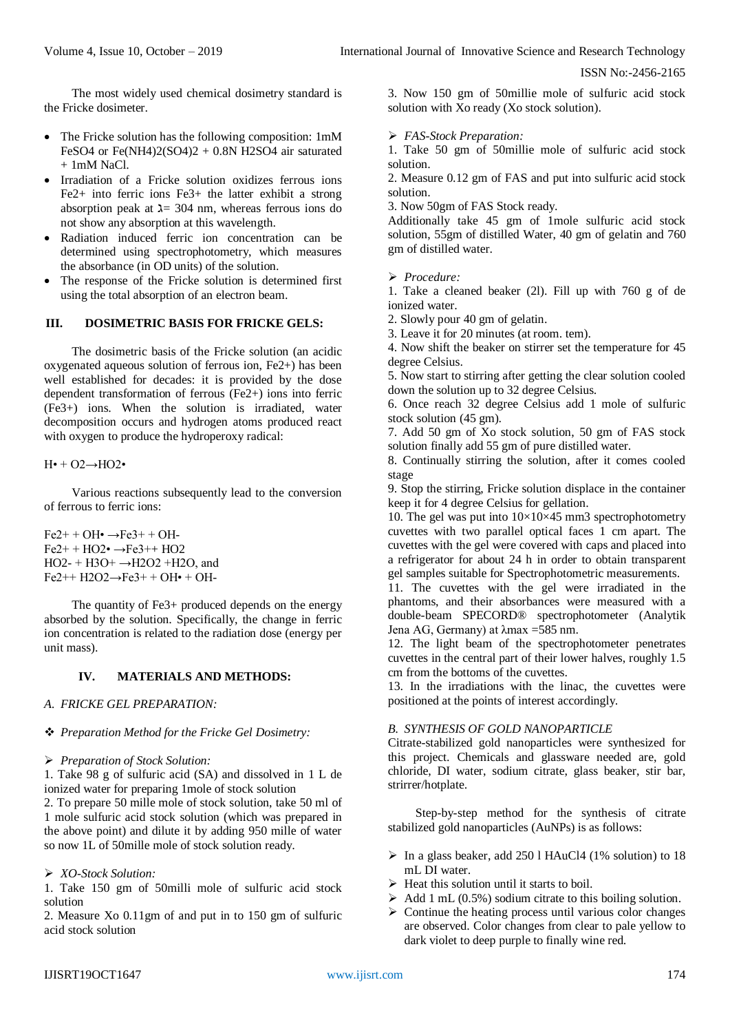ISSN No:-2456-2165

The most widely used chemical dosimetry standard is the Fricke dosimeter.

- The Fricke solution has the following composition: 1mM FeSO4 or Fe $(NH4)2(SO4)2 + 0.8N H2SO4$  air saturated  $+ 1$ mM NaCl.
- Irradiation of a Fricke solution oxidizes ferrous ions Fe2+ into ferric ions Fe3+ the latter exhibit a strong absorption peak at  $\lambda$  = 304 nm, whereas ferrous ions do not show any absorption at this wavelength.
- Radiation induced ferric ion concentration can be determined using spectrophotometry, which measures the absorbance (in OD units) of the solution.
- The response of the Fricke solution is determined first using the total absorption of an electron beam.

# **III. DOSIMETRIC BASIS FOR FRICKE GELS:**

The dosimetric basis of the Fricke solution (an acidic oxygenated aqueous solution of ferrous ion, Fe2+) has been well established for decades: it is provided by the dose dependent transformation of ferrous (Fe2+) ions into ferric (Fe3+) ions. When the solution is irradiated, water decomposition occurs and hydrogen atoms produced react with oxygen to produce the hydroperoxy radical:

 $H\bullet + O2 \rightarrow HO2\bullet$ 

Various reactions subsequently lead to the conversion of ferrous to ferric ions:

 $Fe<sup>2+</sup> + OH<sup>•</sup> \rightarrow Fe<sup>3+</sup> + OH<sup>–</sup>$  $Fe2++HO2\bullet \rightarrow Fe3++HO2$ HO2- + H3O+ →H2O2 +H2O, and  $Fe2++ H2O2 \rightarrow Fe3++ OH \cdot + OH$ 

The quantity of Fe3+ produced depends on the energy absorbed by the solution. Specifically, the change in ferric ion concentration is related to the radiation dose (energy per unit mass).

# **IV. MATERIALS AND METHODS:**

# *A. FRICKE GEL PREPARATION:*

# *Preparation Method for the Fricke Gel Dosimetry:*

*Preparation of Stock Solution:*

1. Take 98 g of sulfuric acid (SA) and dissolved in 1 L de ionized water for preparing 1mole of stock solution

2. To prepare 50 mille mole of stock solution, take 50 ml of 1 mole sulfuric acid stock solution (which was prepared in the above point) and dilute it by adding 950 mille of water so now 1L of 50mille mole of stock solution ready.

# *XO-Stock Solution:*

1. Take 150 gm of 50milli mole of sulfuric acid stock solution

2. Measure Xo 0.11gm of and put in to 150 gm of sulfuric acid stock solution

3. Now 150 gm of 50millie mole of sulfuric acid stock solution with Xo ready (Xo stock solution).

*FAS-Stock Preparation:*

1. Take 50 gm of 50millie mole of sulfuric acid stock solution.

2. Measure 0.12 gm of FAS and put into sulfuric acid stock solution.

3. Now 50gm of FAS Stock ready.

Additionally take 45 gm of 1mole sulfuric acid stock solution, 55gm of distilled Water, 40 gm of gelatin and 760 gm of distilled water.

*Procedure:*

1. Take a cleaned beaker (2l). Fill up with 760 g of de ionized water.

2. Slowly pour 40 gm of gelatin.

3. Leave it for 20 minutes (at room. tem).

4. Now shift the beaker on stirrer set the temperature for 45 degree Celsius.

5. Now start to stirring after getting the clear solution cooled down the solution up to 32 degree Celsius.

6. Once reach 32 degree Celsius add 1 mole of sulfuric stock solution (45 gm).

7. Add 50 gm of Xo stock solution, 50 gm of FAS stock solution finally add 55 gm of pure distilled water.

8. Continually stirring the solution, after it comes cooled stage

9. Stop the stirring, Fricke solution displace in the container keep it for 4 degree Celsius for gellation.

10. The gel was put into  $10\times10\times45$  mm3 spectrophotometry cuvettes with two parallel optical faces 1 cm apart. The cuvettes with the gel were covered with caps and placed into a refrigerator for about 24 h in order to obtain transparent gel samples suitable for Spectrophotometric measurements.

11. The cuvettes with the gel were irradiated in the phantoms, and their absorbances were measured with a double-beam SPECORD® spectrophotometer (Analytik Jena AG, Germany) at λmax =585 nm.

12. The light beam of the spectrophotometer penetrates cuvettes in the central part of their lower halves, roughly 1.5 cm from the bottoms of the cuvettes.

13. In the irradiations with the linac, the cuvettes were positioned at the points of interest accordingly.

# *B. SYNTHESIS OF GOLD NANOPARTICLE*

Citrate-stabilized gold nanoparticles were synthesized for this project. Chemicals and glassware needed are, gold chloride, DI water, sodium citrate, glass beaker, stir bar, strirrer/hotplate.

Step-by-step method for the synthesis of citrate stabilized gold nanoparticles (AuNPs) is as follows:

- $\triangleright$  In a glass beaker, add 250 l HAuCl4 (1% solution) to 18 mL DI water.
- $\triangleright$  Heat this solution until it starts to boil.
- $\triangleright$  Add 1 mL (0.5%) sodium citrate to this boiling solution.
- $\triangleright$  Continue the heating process until various color changes are observed. Color changes from clear to pale yellow to dark violet to deep purple to finally wine red.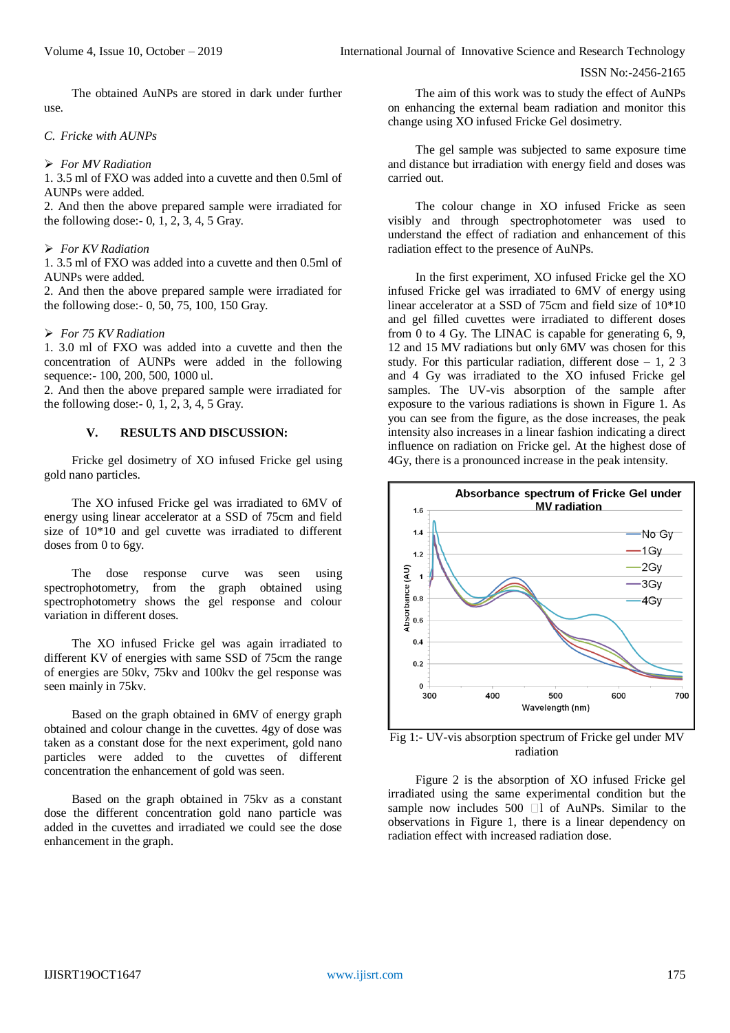The obtained AuNPs are stored in dark under further use.

#### *C. Fricke with AUNPs*

#### *For MV Radiation*

1. 3.5 ml of FXO was added into a cuvette and then 0.5ml of AUNPs were added.

2. And then the above prepared sample were irradiated for the following dose:- 0, 1, 2, 3, 4, 5 Gray.

#### *For KV Radiation*

1. 3.5 ml of FXO was added into a cuvette and then 0.5ml of AUNPs were added.

2. And then the above prepared sample were irradiated for the following dose:- 0, 50, 75, 100, 150 Gray.

#### *For 75 KV Radiation*

1. 3.0 ml of FXO was added into a cuvette and then the concentration of AUNPs were added in the following sequence:- 100, 200, 500, 1000 ul.

2. And then the above prepared sample were irradiated for the following dose:  $-0$ , 1, 2, 3, 4, 5 Gray.

# **V. RESULTS AND DISCUSSION:**

Fricke gel dosimetry of XO infused Fricke gel using gold nano particles.

The XO infused Fricke gel was irradiated to 6MV of energy using linear accelerator at a SSD of 75cm and field size of 10\*10 and gel cuvette was irradiated to different doses from 0 to 6gy.

The dose response curve was seen using spectrophotometry, from the graph obtained using spectrophotometry shows the gel response and colour variation in different doses.

The XO infused Fricke gel was again irradiated to different KV of energies with same SSD of 75cm the range of energies are 50kv, 75kv and 100kv the gel response was seen mainly in 75kv.

Based on the graph obtained in 6MV of energy graph obtained and colour change in the cuvettes. 4gy of dose was taken as a constant dose for the next experiment, gold nano particles were added to the cuvettes of different concentration the enhancement of gold was seen.

Based on the graph obtained in 75kv as a constant dose the different concentration gold nano particle was added in the cuvettes and irradiated we could see the dose enhancement in the graph.

The aim of this work was to study the effect of AuNPs on enhancing the external beam radiation and monitor this change using XO infused Fricke Gel dosimetry.

The gel sample was subjected to same exposure time and distance but irradiation with energy field and doses was carried out.

The colour change in XO infused Fricke as seen visibly and through spectrophotometer was used to understand the effect of radiation and enhancement of this radiation effect to the presence of AuNPs.

In the first experiment, XO infused Fricke gel the XO infused Fricke gel was irradiated to 6MV of energy using linear accelerator at a SSD of 75cm and field size of 10\*10 and gel filled cuvettes were irradiated to different doses from 0 to 4 Gy. The LINAC is capable for generating 6, 9, 12 and 15 MV radiations but only 6MV was chosen for this study. For this particular radiation, different dose – 1, 2 3 and 4 Gy was irradiated to the XO infused Fricke gel samples. The UV-vis absorption of the sample after exposure to the various radiations is shown in Figure 1. As you can see from the figure, as the dose increases, the peak intensity also increases in a linear fashion indicating a direct influence on radiation on Fricke gel. At the highest dose of 4Gy, there is a pronounced increase in the peak intensity.



Fig 1:- UV-vis absorption spectrum of Fricke gel under MV radiation

Figure 2 is the absorption of XO infused Fricke gel irradiated using the same experimental condition but the sample now includes 500  $\Box$  1 of AuNPs. Similar to the observations in Figure 1, there is a linear dependency on radiation effect with increased radiation dose.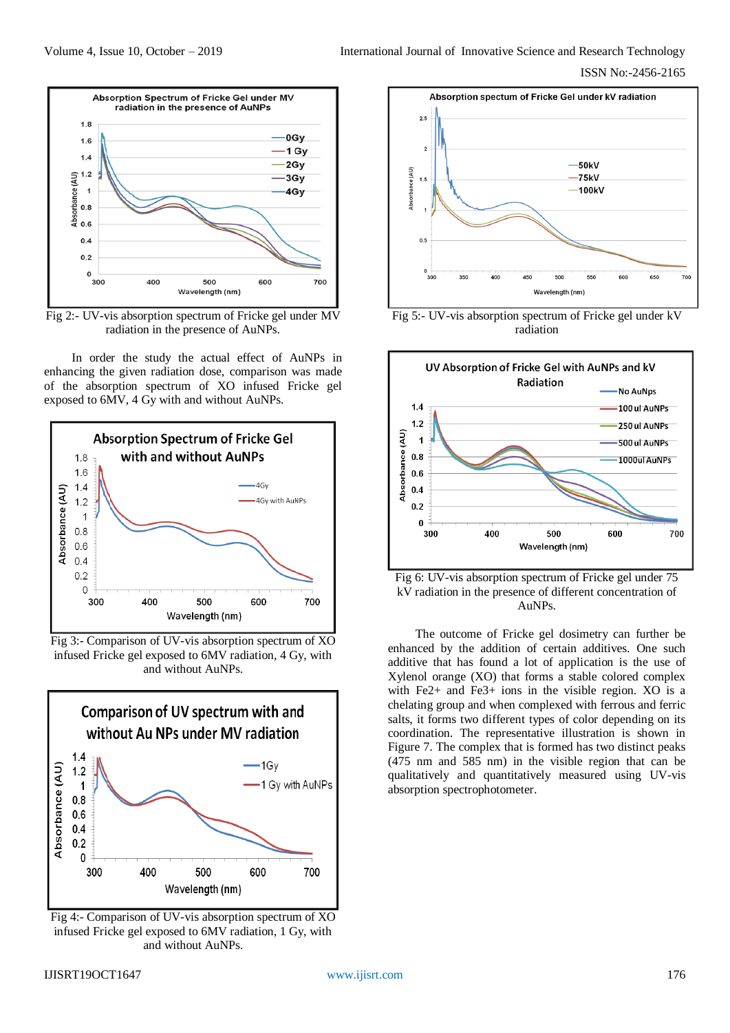

Fig 2:- UV-vis absorption spectrum of Fricke gel under MV radiation in the presence of AuNPs.

In order the study the actual effect of AuNPs in enhancing the given radiation dose, comparison was made of the absorption spectrum of XO infused Fricke gel exposed to 6MV, 4 Gy with and without AuNPs.



Fig 3:- Comparison of UV-vis absorption spectrum of XO infused Fricke gel exposed to 6MV radiation, 4 Gy, with and without AuNPs.



Fig 4:- Comparison of UV-vis absorption spectrum of XO infused Fricke gel exposed to 6MV radiation, 1 Gy, with and without AuNPs.



Fig 5:- UV-vis absorption spectrum of Fricke gel under kV radiation



Fig 6: UV-vis absorption spectrum of Fricke gel under 75 kV radiation in the presence of different concentration of AuNPs.

The outcome of Fricke gel dosimetry can further be enhanced by the addition of certain additives. One such additive that has found a lot of application is the use of Xylenol orange (XO) that forms a stable colored complex with Fe2+ and Fe3+ ions in the visible region. XO is a chelating group and when complexed with ferrous and ferric salts, it forms two different types of color depending on its coordination. The representative illustration is shown in Figure 7. The complex that is formed has two distinct peaks (475 nm and 585 nm) in the visible region that can be qualitatively and quantitatively measured using UV-vis absorption spectrophotometer.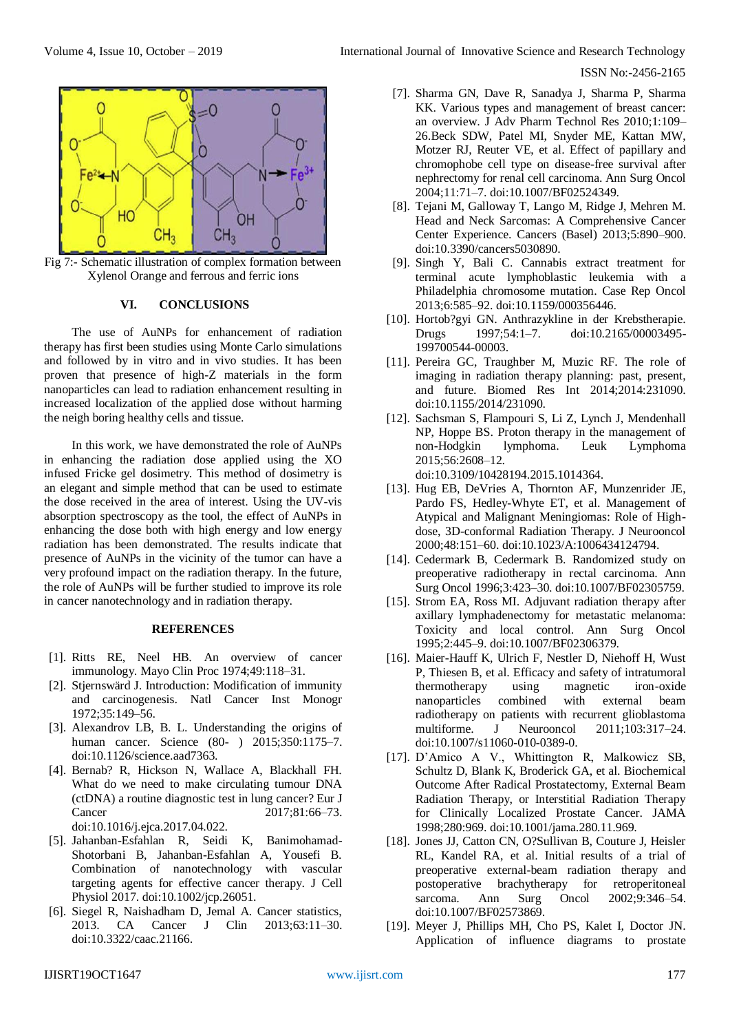

Fig 7:- Schematic illustration of complex formation between Xylenol Orange and ferrous and ferric ions

#### **VI. CONCLUSIONS**

The use of AuNPs for enhancement of radiation therapy has first been studies using Monte Carlo simulations and followed by in vitro and in vivo studies. It has been proven that presence of high-Z materials in the form nanoparticles can lead to radiation enhancement resulting in increased localization of the applied dose without harming the neigh boring healthy cells and tissue.

In this work, we have demonstrated the role of AuNPs in enhancing the radiation dose applied using the XO infused Fricke gel dosimetry. This method of dosimetry is an elegant and simple method that can be used to estimate the dose received in the area of interest. Using the UV-vis absorption spectroscopy as the tool, the effect of AuNPs in enhancing the dose both with high energy and low energy radiation has been demonstrated. The results indicate that presence of AuNPs in the vicinity of the tumor can have a very profound impact on the radiation therapy. In the future, the role of AuNPs will be further studied to improve its role in cancer nanotechnology and in radiation therapy.

#### **REFERENCES**

- [1]. Ritts RE, Neel HB. An overview of cancer immunology. Mayo Clin Proc 1974;49:118–31.
- [2]. Stjernswärd J. Introduction: Modification of immunity and carcinogenesis. Natl Cancer Inst Monogr 1972;35:149–56.
- [3]. Alexandrov LB, B. L. Understanding the origins of human cancer. Science (80- ) 2015;350:1175-7. doi:10.1126/science.aad7363.
- [4]. Bernab? R, Hickson N, Wallace A, Blackhall FH. What do we need to make circulating tumour DNA (ctDNA) a routine diagnostic test in lung cancer? Eur J Cancer 2017;81:66–73. doi:10.1016/j.ejca.2017.04.022.
- [5]. Jahanban-Esfahlan R, Seidi K, Banimohamad-Shotorbani B, Jahanban-Esfahlan A, Yousefi B. Combination of nanotechnology with vascular targeting agents for effective cancer therapy. J Cell Physiol 2017. doi:10.1002/jcp.26051.
- [6]. Siegel R, Naishadham D, Jemal A. Cancer statistics, 2013. CA Cancer J Clin 2013;63:11–30. doi:10.3322/caac.21166.

#### ISSN No:-2456-2165

- [7]. Sharma GN, Dave R, Sanadya J, Sharma P, Sharma KK. Various types and management of breast cancer: an overview. J Adv Pharm Technol Res 2010;1:109– 26.Beck SDW, Patel MI, Snyder ME, Kattan MW, Motzer RJ, Reuter VE, et al. Effect of papillary and chromophobe cell type on disease-free survival after nephrectomy for renal cell carcinoma. Ann Surg Oncol 2004;11:71–7. doi:10.1007/BF02524349.
- [8]. Tejani M, Galloway T, Lango M, Ridge J, Mehren M. Head and Neck Sarcomas: A Comprehensive Cancer Center Experience. Cancers (Basel) 2013;5:890–900. doi:10.3390/cancers5030890.
- [9]. Singh Y, Bali C. Cannabis extract treatment for terminal acute lymphoblastic leukemia with a Philadelphia chromosome mutation. Case Rep Oncol 2013;6:585–92. doi:10.1159/000356446.
- [10]. Hortob?gyi GN. Anthrazykline in der Krebstherapie. Drugs 1997;54:1–7. doi:10.2165/00003495- 199700544-00003.
- [11]. Pereira GC, Traughber M, Muzic RF. The role of imaging in radiation therapy planning: past, present, and future. Biomed Res Int 2014;2014:231090. doi:10.1155/2014/231090.
- [12]. Sachsman S, Flampouri S, Li Z, Lynch J, Mendenhall NP, Hoppe BS. Proton therapy in the management of non-Hodgkin lymphoma. Leuk Lymphoma 2015;56:2608–12. doi:10.3109/10428194.2015.1014364.
- [13]. Hug EB, DeVries A, Thornton AF, Munzenrider JE, Pardo FS, Hedley-Whyte ET, et al. Management of Atypical and Malignant Meningiomas: Role of Highdose, 3D-conformal Radiation Therapy. J Neurooncol 2000;48:151–60. doi:10.1023/A:1006434124794.
- [14]. Cedermark B, Cedermark B. Randomized study on preoperative radiotherapy in rectal carcinoma. Ann Surg Oncol 1996;3:423–30. doi:10.1007/BF02305759.
- [15]. Strom EA, Ross MI. Adjuvant radiation therapy after axillary lymphadenectomy for metastatic melanoma: Toxicity and local control. Ann Surg Oncol 1995;2:445–9. doi:10.1007/BF02306379.
- [16]. Maier-Hauff K, Ulrich F, Nestler D, Niehoff H, Wust P, Thiesen B, et al. Efficacy and safety of intratumoral thermotherapy using magnetic iron-oxide nanoparticles combined with external beam radiotherapy on patients with recurrent glioblastoma multiforme. J Neurooncol 2011;103:317–24. doi:10.1007/s11060-010-0389-0.
- [17]. D'Amico A V., Whittington R, Malkowicz SB, Schultz D, Blank K, Broderick GA, et al. Biochemical Outcome After Radical Prostatectomy, External Beam Radiation Therapy, or Interstitial Radiation Therapy for Clinically Localized Prostate Cancer. JAMA 1998;280:969. doi:10.1001/jama.280.11.969.
- [18]. Jones JJ, Catton CN, O?Sullivan B, Couture J, Heisler RL, Kandel RA, et al. Initial results of a trial of preoperative external-beam radiation therapy and postoperative brachytherapy for retroperitoneal sarcoma. Ann Surg Oncol 2002;9:346–54. doi:10.1007/BF02573869.
- [19]. Meyer J, Phillips MH, Cho PS, Kalet I, Doctor JN. Application of influence diagrams to prostate